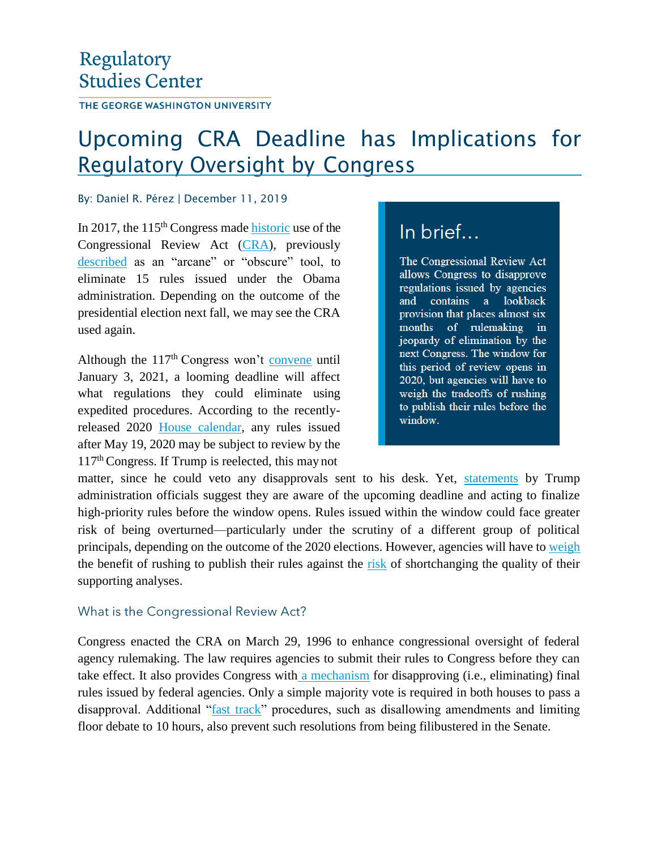## Regulatory **Studies Center**

THE GEORGE WASHINGTON UNIVERSITY

# Upcoming CRA Deadline has Implications for Regulatory Oversight by Congress

#### By: Daniel R. Pérez | December 11, 2019

In 2017, the  $115<sup>th</sup>$  Congress made historic use of the Congressional Review Act (CRA), previously described as an "arcane" or "obscure" tool, to eliminate 15 rules issued under the Obama administration. Depending on the outcome of the presidential election next fall, we may see the CRA used again.

Although the  $117<sup>th</sup> Congress$  won't convene until January 3, 2021, a looming deadline will affect what regulations they could eliminate using expedited procedures. According to the recentlyreleased 2020 House calendar, any rules issued after May 19, 2020 may be subject to review by the 117th Congress. If Trump is reelected, this may not

### In brief...

The Congressional Review Act allows Congress to disapprove regulations issued by agencies contains a lookback and provision that places almost six months of rulemaking in jeopardy of elimination by the next Congress. The window for this period of review opens in 2020, but agencies will have to weigh the tradeoffs of rushing to publish their rules before the window.

matter, since he could veto any disapprovals sent to his desk. Yet, statements by Trump administration officials suggest they are aware of the upcoming deadline and acting to finalize high-priority rules before the window opens. Rules issued within the window could face greater risk of being overturned—particularly under the scrutiny of a different group of political principals, depending on the outcome of the 2020 elections. However, agencies will have to weigh the benefit of rushing to publish their rules against the risk of shortchanging the quality of their supporting analyses.

### What is the Congressional Review Act?

Congress enacted the CRA on March 29, 1996 to enhance congressional oversight of federal agency rulemaking. The law requires agencies to submit their rules to Congress before they can take effect. It also provides Congress with a mechanism for disapproving (i.e., eliminating) final rules issued by federal agencies. Only a simple majority vote is required in both houses to pass a disapproval. Additional "fast track" procedures, such as disallowing amendments and limiting floor debate to 10 hours, also prevent such resolutions from being filibustered in the Senate.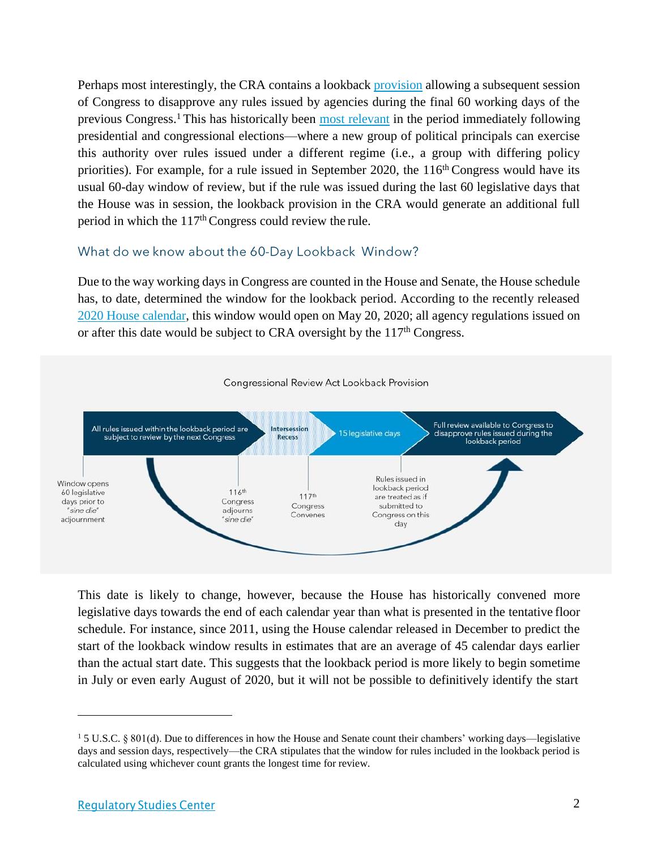Perhaps most interestingly, the CRA contains a lookback provision allowing a subsequent session of Congress to disapprove any rules issued by agencies during the final 60 working days of the previous Congress.<sup>1</sup>This has historically been most relevant in the period immediately following presidential and congressional elections—where a new group of political principals can exercise this authority over rules issued under a different regime (i.e., a group with differing policy priorities). For example, for a rule issued in September 2020, the 116<sup>th</sup> Congress would have its usual 60-day window of review, but if the rule was issued during the last 60 legislative days that the House was in session, the lookback provision in the CRA would generate an additional full period in which the 117th Congress could review the rule.

#### What do we know about the 60-Day Lookback Window?

Due to the way working days in Congress are counted in the House and Senate, the House schedule has, to date, determined the window for the lookback period. According to the recently released 2020 House calendar, this window would open on May 20, 2020; all agency regulations issued on or after this date would be subject to CRA oversight by the  $117<sup>th</sup>$  Congress.



This date is likely to change, however, because the House has historically convened more legislative days towards the end of each calendar year than what is presented in the tentative floor schedule. For instance, since 2011, using the House calendar released in December to predict the start of the lookback window results in estimates that are an average of 45 calendar days earlier than the actual start date. This suggests that the lookback period is more likely to begin sometime in July or even early August of 2020, but it will not be possible to definitively identify the start

<sup>1</sup> 5 U.S.C. § 801(d). Due to differences in how the House and Senate count their chambers' working days—legislative days and session days, respectively—the CRA stipulates that the window for rules included in the lookback period is calculated using whichever count grants the longest time for review.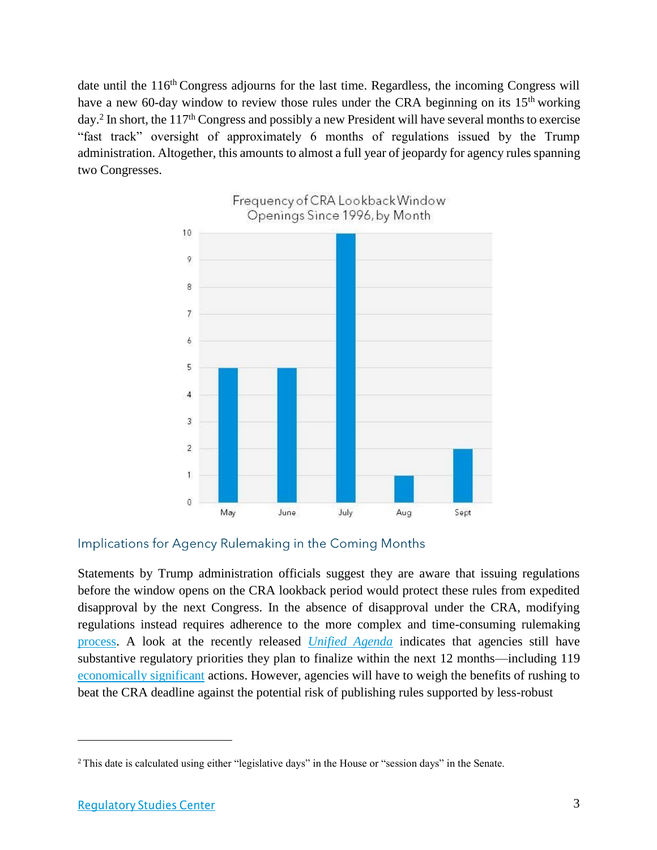date until the 116<sup>th</sup> Congress adjourns for the last time. Regardless, the incoming Congress will have a new 60-day window to review those rules under the CRA beginning on its 15<sup>th</sup> working day.<sup>2</sup> In short, the 117<sup>th</sup> Congress and possibly a new President will have several months to exercise "fast track" oversight of approximately 6 months of regulations issued by the Trump administration. Altogether, this amounts to almost a full year of jeopardy for agency rules spanning two Congresses.



### Implications for Agency Rulemaking in the Coming Months

Statements by Trump administration officials suggest they are aware that issuing regulations before the window opens on the CRA lookback period would protect these rules from expedited disapproval by the next Congress. In the absence of disapproval under the CRA, modifying regulations instead requires adherence to the more complex and time-consuming rulemaking process. A look at the recently released *Unified Agenda* indicates that agencies still have substantive regulatory priorities they plan to finalize within the next 12 months—including 119 economically significant actions. However, agencies will have to weigh the benefits of rushing to beat the CRA deadline against the potential risk of publishing rules supported by less-robust

<sup>2</sup> This date is calculated using either "legislative days" in the House or "session days" in the Senate.